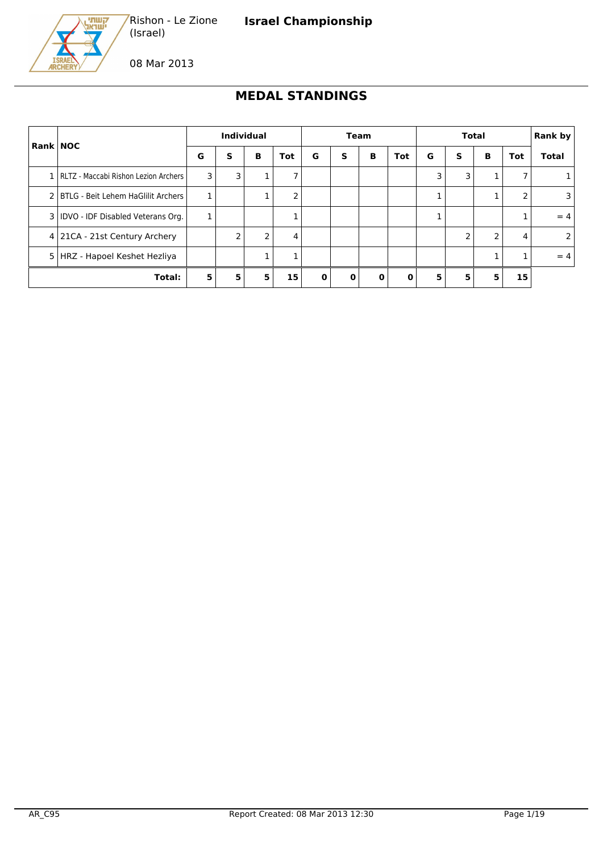



08 Mar 2013

(Israel)

Rishon - Le Zione

## **MEDAL STANDINGS**

| <b>Rank NOC</b> |                                          |   | <b>Individual</b> |   |     | <b>Team</b>  |   |          | <b>Total</b> |   |   |   | Rank by |              |
|-----------------|------------------------------------------|---|-------------------|---|-----|--------------|---|----------|--------------|---|---|---|---------|--------------|
|                 |                                          | G | s                 | в | Tot | G            | S | В        | <b>Tot</b>   | G | s | В | Tot     | <b>Total</b> |
|                 | 1   RLTZ - Maccabi Rishon Lezion Archers | 3 | 3                 |   | 7   |              |   |          |              | 3 | 3 |   |         |              |
|                 | 2   BTLG - Beit Lehem HaGlilit Archers   | 1 |                   |   | 2   |              |   |          |              |   |   |   | 2       | 3            |
|                 | 3   IDVO - IDF Disabled Veterans Org.    | 1 |                   |   |     |              |   |          |              |   |   |   |         | $=4$         |
|                 | 4 21CA - 21st Century Archery            |   | 2                 | 2 | 4   |              |   |          |              |   |   | 2 | 4       |              |
|                 | 5   HRZ - Hapoel Keshet Hezliya          |   |                   |   |     |              |   |          |              |   |   |   |         | $= 4$        |
| Total:          |                                          | 5 | 5                 | 5 | 15  | <sup>0</sup> |   | $\bf{0}$ | $\mathbf{0}$ | 5 | 5 | 5 | 15      |              |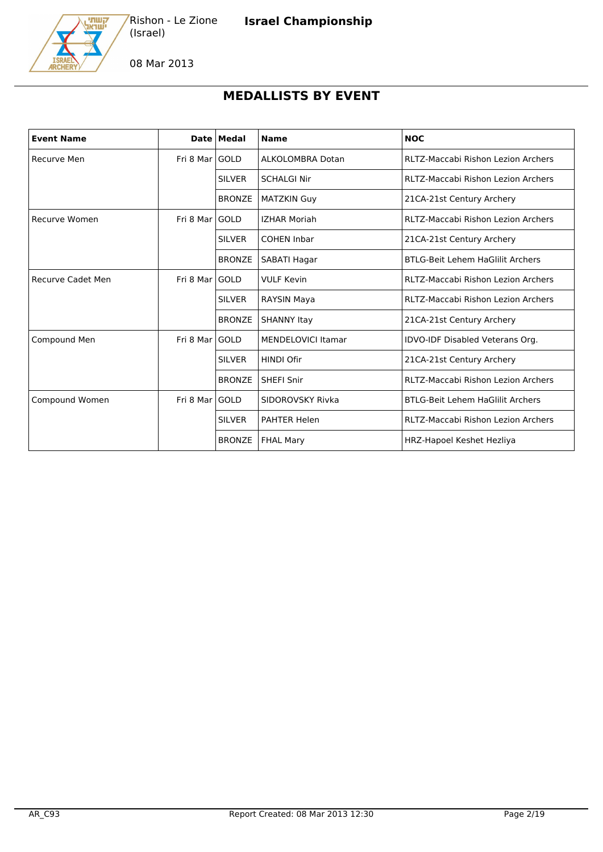

08 Mar 2013

## **MEDALLISTS BY EVENT**

| <b>Event Name</b>        |                 | Date   Medal  | <b>Name</b>               | <b>NOC</b>                                |
|--------------------------|-----------------|---------------|---------------------------|-------------------------------------------|
| Recurve Men              | Fri 8 Marl GOLD |               | ALKOLOMBRA Dotan          | RLTZ-Maccabi Rishon Lezion Archers        |
|                          |                 | <b>SILVER</b> | <b>SCHALGI Nir</b>        | RLTZ-Maccabi Rishon Lezion Archers        |
|                          |                 | <b>BRONZE</b> | <b>MATZKIN Guy</b>        | 21CA-21st Century Archery                 |
| Recurve Women            | Fri 8 Marl GOLD |               | <b>IZHAR Moriah</b>       | <b>RLTZ-Maccabi Rishon Lezion Archers</b> |
|                          |                 | <b>SILVER</b> | <b>COHEN Inbar</b>        | 21CA-21st Century Archery                 |
|                          |                 | <b>BRONZE</b> | SABATI Hagar              | <b>BTLG-Beit Lehem HaGlilit Archers</b>   |
| <b>Recurve Cadet Men</b> | Fri 8 Mar       | <b>GOLD</b>   | <b>VULF Kevin</b>         | RLTZ-Maccabi Rishon Lezion Archers        |
|                          |                 | <b>SILVER</b> | <b>RAYSIN Maya</b>        | <b>RLTZ-Maccabi Rishon Lezion Archers</b> |
|                          |                 | <b>BRONZE</b> | <b>SHANNY Itay</b>        | 21CA-21st Century Archery                 |
| Compound Men             | Fri 8 Mar       | <b>GOLD</b>   | <b>MENDELOVICI Itamar</b> | IDVO-IDF Disabled Veterans Org.           |
|                          |                 | <b>SILVER</b> | <b>HINDI Ofir</b>         | 21CA-21st Century Archery                 |
|                          |                 | <b>BRONZE</b> | <b>SHEFI Snir</b>         | RLTZ-Maccabi Rishon Lezion Archers        |
| Compound Women           | Fri 8 Mar       | <b>GOLD</b>   | SIDOROVSKY Rivka          | <b>BTLG-Beit Lehem HaGlilit Archers</b>   |
|                          |                 | <b>SILVER</b> | <b>PAHTER Helen</b>       | RLTZ-Maccabi Rishon Lezion Archers        |
|                          |                 | <b>BRONZE</b> | <b>FHAL Mary</b>          | HRZ-Hapoel Keshet Hezliya                 |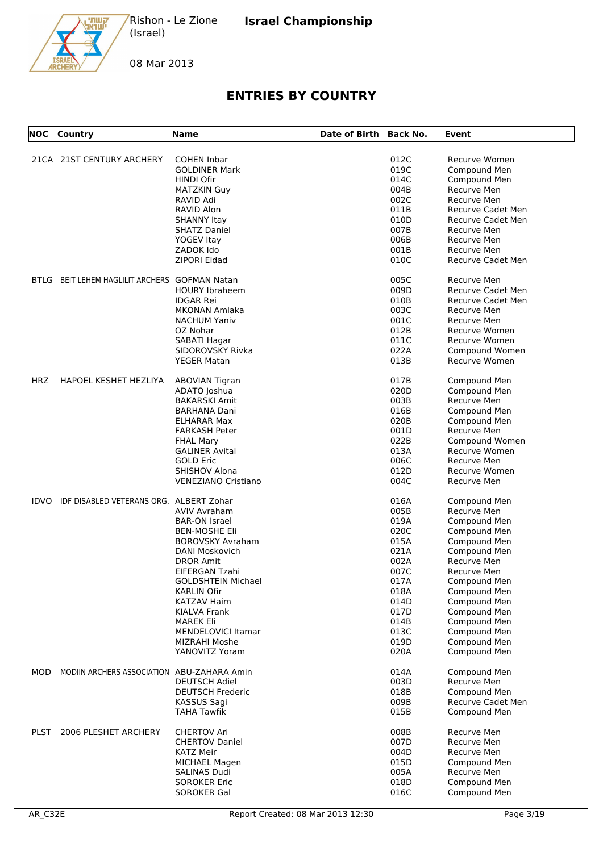08 Mar 2013

קשתי<br>ישראג

# **ENTRIES BY COUNTRY**

|       | <b>NOC</b> Country                            | <b>Name</b>                          | Date of Birth Back No. |              | Event                        |
|-------|-----------------------------------------------|--------------------------------------|------------------------|--------------|------------------------------|
|       | 21CA 21ST CENTURY ARCHERY                     | <b>COHEN Inbar</b>                   |                        | 012C         | Recurve Women                |
|       |                                               | <b>GOLDINER Mark</b>                 |                        | 019C         | Compound Men                 |
|       |                                               | HINDI Ofir                           |                        | 014C         | Compound Men                 |
|       |                                               | <b>MATZKIN Guy</b>                   |                        | 004B         | Recurve Men                  |
|       |                                               | RAVID Adi                            |                        | 002C         | Recurve Men                  |
|       |                                               | RAVID Alon                           |                        | 011B         | Recurve Cadet Men            |
|       |                                               |                                      |                        |              |                              |
|       |                                               | <b>SHANNY Itay</b>                   |                        | 010D         | Recurve Cadet Men            |
|       |                                               | <b>SHATZ Daniel</b>                  |                        | 007B         | Recurve Men                  |
|       |                                               | <b>YOGEV Itay</b>                    |                        | 006B         | Recurve Men                  |
|       |                                               | ZADOK Ido                            |                        | 001B         | Recurve Men                  |
|       |                                               | ZIPORI Eldad                         |                        | 010C         | Recurve Cadet Men            |
|       | BTLG BEIT LEHEM HAGLILIT ARCHERS GOFMAN Natan |                                      |                        | 005C         | Recurve Men                  |
|       |                                               | <b>HOURY Ibraheem</b>                |                        | 009D         | <b>Recurve Cadet Men</b>     |
|       |                                               | <b>IDGAR Rei</b>                     |                        | 010B         | Recurve Cadet Men            |
|       |                                               | <b>MKONAN Amlaka</b>                 |                        | 003C         | Recurve Men                  |
|       |                                               | <b>NACHUM Yaniv</b>                  |                        | 001C         | Recurve Men                  |
|       |                                               | OZ Nohar                             |                        | 012B         | Recurve Women                |
|       |                                               | SABATI Hagar                         |                        | 011C         | Recurve Women                |
|       |                                               |                                      |                        |              |                              |
|       |                                               | SIDOROVSKY Rivka                     |                        | 022A         | Compound Women               |
|       |                                               | <b>YEGER Matan</b>                   |                        | 013B         | Recurve Women                |
| HRZ   | HAPOEL KESHET HEZLIYA                         | <b>ABOVIAN Tigran</b>                |                        | 017B         | Compound Men                 |
|       |                                               | ADATO Joshua                         |                        | 020D         | Compound Men                 |
|       |                                               | <b>BAKARSKI Amit</b>                 |                        | 003B         | Recurve Men                  |
|       |                                               | <b>BARHANA Dani</b>                  |                        | 016B         | Compound Men                 |
|       |                                               | ELHARAR Max                          |                        | 020B         | Compound Men                 |
|       |                                               | <b>FARKASH Peter</b>                 |                        | 001D         | Recurve Men                  |
|       |                                               | <b>FHAL Mary</b>                     |                        | 022B         | Compound Women               |
|       |                                               | <b>GALINER Avital</b>                |                        | 013A         | Recurve Women                |
|       |                                               | <b>GOLD Eric</b>                     |                        | 006C         | Recurve Men                  |
|       |                                               |                                      |                        |              |                              |
|       |                                               | SHISHOV Alona<br>VENEZIANO Cristiano |                        | 012D<br>004C | Recurve Women<br>Recurve Men |
|       |                                               |                                      |                        |              |                              |
| IDVO. | IDF DISABLED VETERANS ORG. ALBERT Zohar       |                                      |                        | 016A         | Compound Men                 |
|       |                                               | AVIV Avraham                         |                        | 005B         | Recurve Men                  |
|       |                                               | <b>BAR-ON Israel</b>                 |                        | 019A         | Compound Men                 |
|       |                                               | <b>BEN-MOSHE Eli</b>                 |                        | 020C         | Compound Men                 |
|       |                                               | <b>BOROVSKY Avraham</b>              |                        | 015A         | Compound Men                 |
|       |                                               | DANI Moskovich                       |                        | 021A         | Compound Men                 |
|       |                                               | <b>DROR Amit</b>                     |                        | 002A         | Recurve Men                  |
|       |                                               | EIFERGAN Tzahi                       |                        | 007C         | Recurve Men                  |
|       |                                               | <b>GOLDSHTEIN Michael</b>            |                        | 017A         | Compound Men                 |
|       |                                               | KARLIN Ofir                          |                        | 018A         | Compound Men                 |
|       |                                               | <b>KATZAV Haim</b>                   |                        | 014D         | Compound Men                 |
|       |                                               |                                      |                        |              |                              |
|       |                                               | <b>KIALVA Frank</b>                  |                        | 017D         | Compound Men                 |
|       |                                               | <b>MAREK Eli</b>                     |                        | 014B         | Compound Men                 |
|       |                                               | <b>MENDELOVICI Itamar</b>            |                        | 013C         | Compound Men                 |
|       |                                               | MIZRAHI Moshe                        |                        | 019D         | Compound Men                 |
|       |                                               | YANOVITZ Yoram                       |                        | 020A         | Compound Men                 |
| MOD   | MODIIN ARCHERS ASSOCIATION ABU-ZAHARA Amin    |                                      |                        | 014A         | Compound Men                 |
|       |                                               | <b>DEUTSCH Adiel</b>                 |                        | 003D         | Recurve Men                  |
|       |                                               | <b>DEUTSCH Frederic</b>              |                        | 018B         | Compound Men                 |
|       |                                               | KASSUS Sagi                          |                        | 009B         | Recurve Cadet Men            |
|       |                                               | <b>TAHA Tawfik</b>                   |                        | 015B         | Compound Men                 |
|       |                                               |                                      |                        |              |                              |
| PLST  | 2006 PLESHET ARCHERY                          | <b>CHERTOV Ari</b>                   |                        | 008B         | Recurve Men                  |
|       |                                               | <b>CHERTOV Daniel</b>                |                        | 007D         | Recurve Men                  |
|       |                                               | <b>KATZ Meir</b>                     |                        | 004D         | Recurve Men                  |
|       |                                               | MICHAEL Magen                        |                        | 015D         | Compound Men                 |
|       |                                               | SALINAS Dudi                         |                        | 005A         | Recurve Men                  |
|       |                                               | <b>SOROKER Eric</b>                  |                        | 018D         | Compound Men                 |
|       |                                               | <b>SOROKER Gal</b>                   |                        | 016C         | Compound Men                 |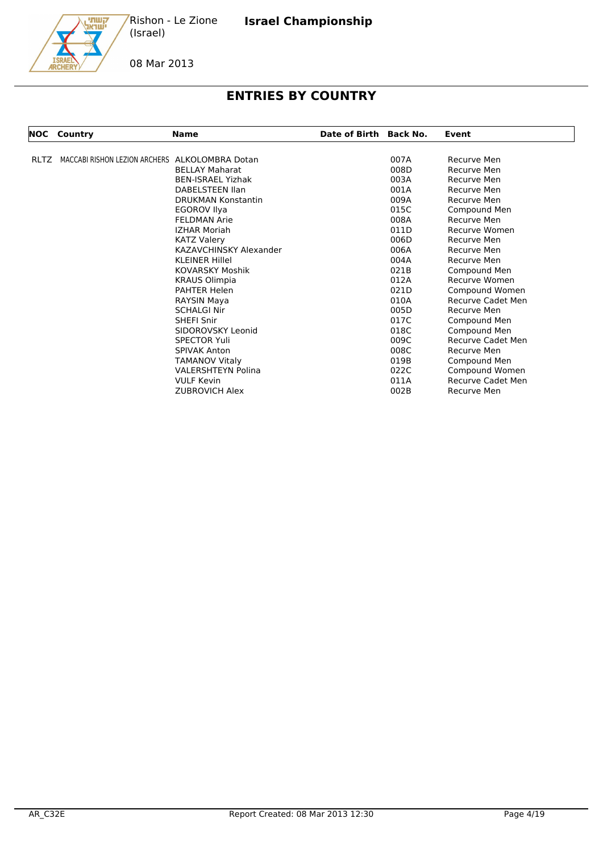קשתי<br>ישראג Rishon - Le Zione (Israel)

08 Mar 2013

## **ENTRIES BY COUNTRY**

| NOC         | Country                                        | <b>Name</b>               | Date of Birth Back No. |      | Event              |
|-------------|------------------------------------------------|---------------------------|------------------------|------|--------------------|
| <b>RLTZ</b> | MACCABI RISHON LEZION ARCHERS ALKOLOMBRA Dotan |                           |                        | 007A | Recurve Men        |
|             |                                                | <b>BELLAY Maharat</b>     |                        | 008D | Recurve Men        |
|             |                                                | <b>BEN-ISRAEL Yizhak</b>  |                        | 003A | Recurve Men        |
|             |                                                | DABELSTEEN Ilan           |                        | 001A | Recurve Men        |
|             |                                                | <b>DRUKMAN Konstantin</b> |                        | 009A | Recurve Men        |
|             |                                                | <b>EGOROV Ilya</b>        |                        | 015C | Compound Men       |
|             |                                                | <b>FELDMAN Arie</b>       |                        | 008A | <b>Recurve Men</b> |
|             |                                                | <b>IZHAR Moriah</b>       |                        | 011D | Recurve Women      |
|             |                                                | <b>KATZ Valery</b>        |                        | 006D | Recurve Men        |
|             |                                                | KAZAVCHINSKY Alexander    |                        | 006A | Recurve Men        |
|             |                                                | <b>KLEINER Hillel</b>     |                        | 004A | Recurve Men        |
|             |                                                | <b>KOVARSKY Moshik</b>    |                        | 021B | Compound Men       |
|             |                                                | <b>KRAUS Olimpia</b>      |                        | 012A | Recurve Women      |
|             |                                                | <b>PAHTER Helen</b>       |                        | 021D | Compound Women     |
|             |                                                | RAYSIN Maya               |                        | 010A | Recurve Cadet Men  |
|             |                                                | <b>SCHALGI Nir</b>        |                        | 005D | Recurve Men        |
|             |                                                | <b>SHEFI Snir</b>         |                        | 017C | Compound Men       |
|             |                                                | SIDOROVSKY Leonid         |                        | 018C | Compound Men       |
|             |                                                | <b>SPECTOR Yuli</b>       |                        | 009C | Recurve Cadet Men  |
|             |                                                | <b>SPIVAK Anton</b>       |                        | 008C | Recurve Men        |
|             |                                                | <b>TAMANOV Vitaly</b>     |                        | 019B | Compound Men       |
|             |                                                | <b>VALERSHTEYN Polina</b> |                        | 022C | Compound Women     |
|             |                                                | <b>VULF Kevin</b>         |                        | 011A | Recurve Cadet Men  |
|             |                                                | <b>ZUBROVICH Alex</b>     |                        | 002B | Recurve Men        |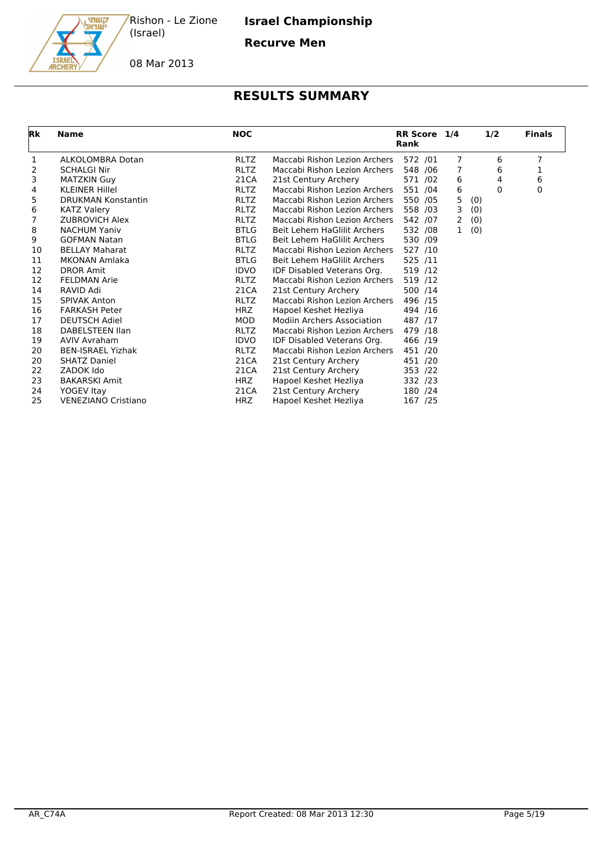

**Israel Championship**

**Recurve Men**

08 Mar 2013

| <b>Rk</b> | <b>Name</b>                | <b>NOC</b>  |                                   | RR Score 1/4<br>Rank |                | 1/2         | <b>Finals</b> |
|-----------|----------------------------|-------------|-----------------------------------|----------------------|----------------|-------------|---------------|
| 1         | ALKOLOMBRA Dotan           | <b>RLTZ</b> | Maccabi Rishon Lezion Archers     | 572 /01              | $\overline{7}$ | 6           | 7             |
| 2         | <b>SCHALGI Nir</b>         | <b>RLTZ</b> | Maccabi Rishon Lezion Archers     | 548 / 06             | 7              | 6           | 1             |
| 3         | <b>MATZKIN Guy</b>         | 21CA        | 21st Century Archery              | 571 /02              | 6              | 4           | 6             |
| 4         | <b>KLEINER Hillel</b>      | <b>RLTZ</b> | Maccabi Rishon Lezion Archers     | 551 /04              | 6              | $\mathbf 0$ | 0             |
| 5         | <b>DRUKMAN Konstantin</b>  | <b>RLTZ</b> | Maccabi Rishon Lezion Archers     | 550 /05              | 5              | (0)         |               |
| 6         | <b>KATZ Valery</b>         | <b>RLTZ</b> | Maccabi Rishon Lezion Archers     | 558 /03              | 3              | (0)         |               |
| 7         | <b>ZUBROVICH Alex</b>      | <b>RLTZ</b> | Maccabi Rishon Lezion Archers     | 542 /07              | 2              | (0)         |               |
| 8         | <b>NACHUM Yaniv</b>        | <b>BTLG</b> | Beit Lehem HaGlilit Archers       | 532 /08              | $\mathbf{1}$   | (0)         |               |
| 9         | <b>GOFMAN Natan</b>        | <b>BTLG</b> | Beit Lehem HaGlilit Archers       | 530 /09              |                |             |               |
| 10        | <b>BELLAY Maharat</b>      | <b>RLTZ</b> | Maccabi Rishon Lezion Archers     | 527 /10              |                |             |               |
| 11        | <b>MKONAN Amlaka</b>       | <b>BTLG</b> | Beit Lehem HaGlilit Archers       | 525 /11              |                |             |               |
| 12        | <b>DROR Amit</b>           | <b>IDVO</b> | IDF Disabled Veterans Org.        | 519 /12              |                |             |               |
| 12        | <b>FELDMAN Arie</b>        | <b>RLTZ</b> | Maccabi Rishon Lezion Archers     | 519 /12              |                |             |               |
| 14        | RAVID Adi                  | 21CA        | 21st Century Archery              | 500 /14              |                |             |               |
| 15        | <b>SPIVAK Anton</b>        | <b>RLTZ</b> | Maccabi Rishon Lezion Archers     | 496 /15              |                |             |               |
| 16        | <b>FARKASH Peter</b>       | <b>HRZ</b>  | Hapoel Keshet Hezliya             | 494 /16              |                |             |               |
| 17        | <b>DEUTSCH Adiel</b>       | <b>MOD</b>  | <b>Modiin Archers Association</b> | 487 /17              |                |             |               |
| 18        | DABELSTEEN Ilan            | <b>RLTZ</b> | Maccabi Rishon Lezion Archers     | 479 /18              |                |             |               |
| 19        | <b>AVIV Avraham</b>        | <b>IDVO</b> | IDF Disabled Veterans Org.        | 466 /19              |                |             |               |
| 20        | <b>BEN-ISRAEL Yizhak</b>   | <b>RLTZ</b> | Maccabi Rishon Lezion Archers     | 451 /20              |                |             |               |
| 20        | <b>SHATZ Daniel</b>        | 21CA        | 21st Century Archery              | 451 /20              |                |             |               |
| 22        | ZADOK Ido                  | 21CA        | 21st Century Archery              | 353 /22              |                |             |               |
| 23        | <b>BAKARSKI Amit</b>       | <b>HRZ</b>  | Hapoel Keshet Hezliya             | 332 /23              |                |             |               |
| 24        | YOGEV Itay                 | 21CA        | 21st Century Archery              | 180 /24              |                |             |               |
| 25        | <b>VENEZIANO Cristiano</b> | <b>HRZ</b>  | Hapoel Keshet Hezliya             | 167 /25              |                |             |               |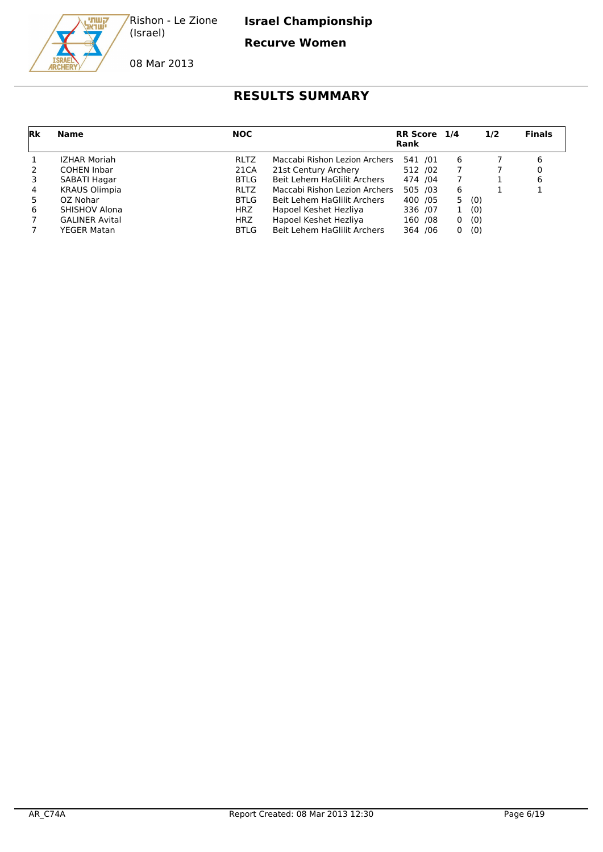

**Israel Championship**

**Recurve Women**

08 Mar 2013

| Rk             | Name                  | <b>NOC</b>  |                               | RR Score 1/4<br>Rank |              | 1/2 | <b>Finals</b> |
|----------------|-----------------------|-------------|-------------------------------|----------------------|--------------|-----|---------------|
|                | <b>IZHAR Moriah</b>   | <b>RLTZ</b> | Maccabi Rishon Lezion Archers | 541 /01              | 6            |     | 6             |
| 2              | <b>COHEN Inbar</b>    | 21CA        | 21st Century Archery          | 512 /02              |              |     |               |
| 3              | SABATI Hagar          | BTLG        | Beit Lehem HaGlilit Archers   | 474 / 04             | 7            |     |               |
| $\overline{4}$ | <b>KRAUS Olimpia</b>  | <b>RLTZ</b> | Maccabi Rishon Lezion Archers | 505 /03              | 6            |     |               |
| 5              | OZ Nohar              | BTLG        | Beit Lehem HaGlilit Archers   | 400 / 05             | 5.           | (0) |               |
| 6              | <b>SHISHOV Alona</b>  | <b>HRZ</b>  | Hapoel Keshet Hezliya         | 336 /07              | $\mathbf{1}$ | (0) |               |
| 7              | <b>GALINER Avital</b> | <b>HRZ</b>  | Hapoel Keshet Hezliya         | 160 /08              | 0            | (0) |               |
|                | YEGER Matan           | <b>BTLG</b> | Beit Lehem HaGlilit Archers   | 364 / 06             | 0            | (0) |               |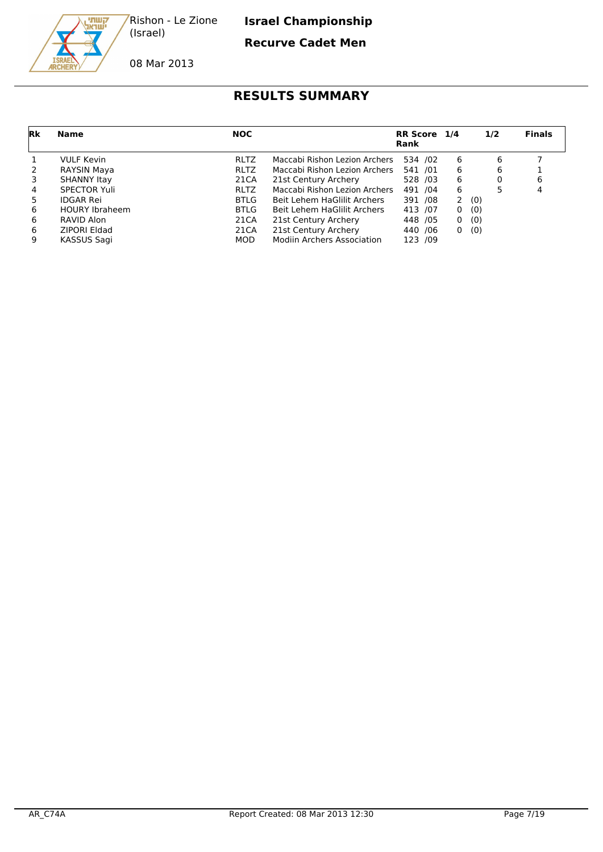

**Israel Championship**

#### **Recurve Cadet Men**

08 Mar 2013

| Rk             | Name                  | <b>NOC</b>  |                                   | RR Score 1/4<br>Rank |          | 1/2   | <b>Finals</b> |
|----------------|-----------------------|-------------|-----------------------------------|----------------------|----------|-------|---------------|
|                | <b>VULF Kevin</b>     | <b>RLTZ</b> | Maccabi Rishon Lezion Archers     | 534 /02              | -6       | 6     |               |
| 2              | RAYSIN Maya           | <b>RLTZ</b> | Maccabi Rishon Lezion Archers     | 541 /01              | 6        | 6     |               |
| 3              | <b>SHANNY Itay</b>    | 21CA        | 21st Century Archery              | 528 /03              | -6       | 0     | 6             |
| $\overline{4}$ | <b>SPECTOR Yuli</b>   | <b>RLTZ</b> | Maccabi Rishon Lezion Archers     | 491 /04              | 6        |       | 4             |
| 5              | <b>IDGAR Rei</b>      | <b>BTLG</b> | Beit Lehem HaGlilit Archers       | 391 /08              |          | 2(0)  |               |
| 6              | <b>HOURY Ibraheem</b> | <b>BTLG</b> | Beit Lehem HaGlilit Archers       | 413 /07              | $\Omega$ | (0)   |               |
| 6              | RAVID Alon            | 21CA        | 21st Century Archery              | 448 / 05             |          | 0 (0) |               |
| 6              | ZIPORI Eldad          | 21CA        | 21st Century Archery              | 440 / 06             |          | 0(0)  |               |
| 9              | KASSUS Sagi           | <b>MOD</b>  | <b>Modiin Archers Association</b> | 123 /09              |          |       |               |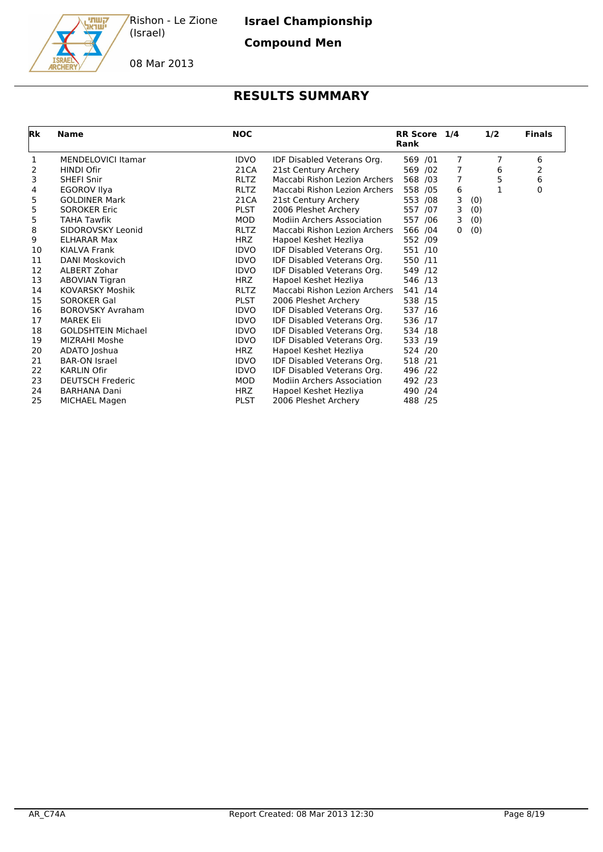

**Israel Championship**

**Compound Men**

08 Mar 2013

| Rk | <b>Name</b>               | <b>NOC</b>  |                                   | RR Score 1/4<br>Rank |                | 1/2 | <b>Finals</b> |
|----|---------------------------|-------------|-----------------------------------|----------------------|----------------|-----|---------------|
| 1  | <b>MENDELOVICI Itamar</b> | <b>IDVO</b> | IDF Disabled Veterans Org.        | 569 /01              | 7              | 7   | 6             |
| 2  | <b>HINDI Ofir</b>         | 21CA        | 21st Century Archery              | 569 /02              | 7              | 6   | 2             |
| 3  | <b>SHEFI Snir</b>         | <b>RLTZ</b> | Maccabi Rishon Lezion Archers     | 568 /03              | $\overline{7}$ | 5   | 6             |
| 4  | <b>EGOROV Ilya</b>        | <b>RLTZ</b> | Maccabi Rishon Lezion Archers     | 558 /05              | 6              | 1   | 0             |
| 5  | <b>GOLDINER Mark</b>      | 21CA        | 21st Century Archery              | 553 /08              | 3              | (0) |               |
| 5  | <b>SOROKER Eric</b>       | <b>PLST</b> | 2006 Pleshet Archery              | 557 /07              | 3              | (0) |               |
| 5  | TAHA Tawfik               | <b>MOD</b>  | Modiin Archers Association        | 557 /06              | 3              | (0) |               |
| 8  | SIDOROVSKY Leonid         | <b>RLTZ</b> | Maccabi Rishon Lezion Archers     | 566 /04              | 0              | (0) |               |
| 9  | <b>ELHARAR Max</b>        | <b>HRZ</b>  | Hapoel Keshet Hezliya             | 552 /09              |                |     |               |
| 10 | KIALVA Frank              | <b>IDVO</b> | IDF Disabled Veterans Org.        | 551 /10              |                |     |               |
| 11 | DANI Moskovich            | <b>IDVO</b> | IDF Disabled Veterans Org.        | 550 /11              |                |     |               |
| 12 | ALBERT Zohar              | <b>IDVO</b> | IDF Disabled Veterans Org.        | 549 /12              |                |     |               |
| 13 | <b>ABOVIAN Tigran</b>     | HRZ         | Hapoel Keshet Hezliya             | 546 /13              |                |     |               |
| 14 | <b>KOVARSKY Moshik</b>    | <b>RLTZ</b> | Maccabi Rishon Lezion Archers     | 541 /14              |                |     |               |
| 15 | <b>SOROKER Gal</b>        | <b>PLST</b> | 2006 Pleshet Archery              | 538 /15              |                |     |               |
| 16 | <b>BOROVSKY Avraham</b>   | <b>IDVO</b> | IDF Disabled Veterans Org.        | 537 /16              |                |     |               |
| 17 | <b>MAREK Eli</b>          | <b>IDVO</b> | IDF Disabled Veterans Org.        | 536 /17              |                |     |               |
| 18 | <b>GOLDSHTEIN Michael</b> | <b>IDVO</b> | IDF Disabled Veterans Org.        | 534 /18              |                |     |               |
| 19 | MIZRAHI Moshe             | <b>IDVO</b> | IDF Disabled Veterans Org.        | 533 /19              |                |     |               |
| 20 | ADATO Joshua              | <b>HRZ</b>  | Hapoel Keshet Hezliya             | 524 /20              |                |     |               |
| 21 | <b>BAR-ON Israel</b>      | <b>IDVO</b> | IDF Disabled Veterans Org.        | 518 /21              |                |     |               |
| 22 | <b>KARLIN Ofir</b>        | <b>IDVO</b> | IDF Disabled Veterans Org.        | 496 /22              |                |     |               |
| 23 | <b>DEUTSCH Frederic</b>   | <b>MOD</b>  | <b>Modiin Archers Association</b> | 492 /23              |                |     |               |
| 24 | <b>BARHANA Dani</b>       | <b>HRZ</b>  | Hapoel Keshet Hezliya             | 490 /24              |                |     |               |
| 25 | MICHAEL Magen             | <b>PLST</b> | 2006 Pleshet Archery              | 488 /25              |                |     |               |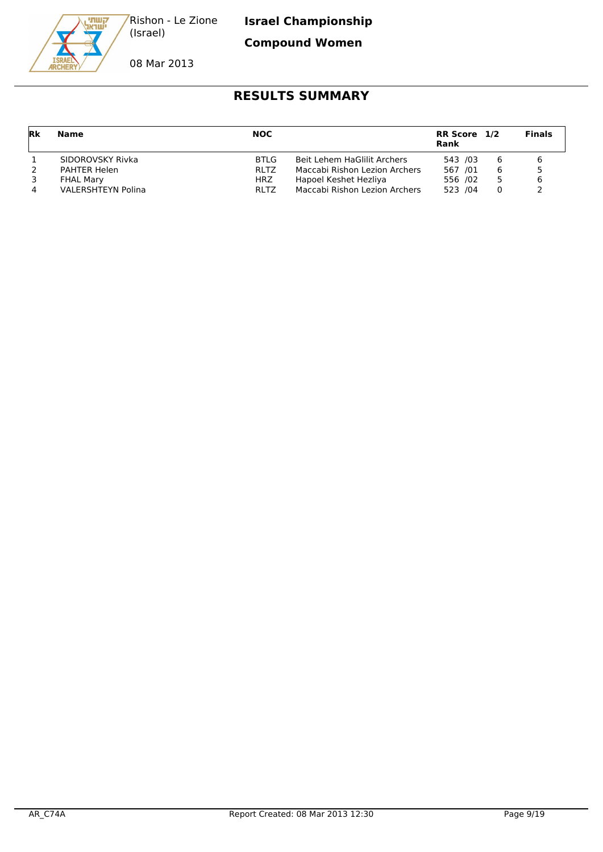

**Compound Women**

08 Mar 2013

| Rk | <b>Name</b>               | <b>NOC</b>  |                               | RR Score 1/2<br>Rank |   | <b>Finals</b> |
|----|---------------------------|-------------|-------------------------------|----------------------|---|---------------|
|    | SIDOROVSKY Rivka          | <b>BTLG</b> | Beit Lehem HaGlilit Archers   | 543 /03              | 6 |               |
|    | PAHTER Helen              | <b>RLTZ</b> | Maccabi Rishon Lezion Archers | 567 /01              | 6 |               |
|    | <b>FHAL Mary</b>          | HRZ         | Hapoel Keshet Hezliya         | 556 /02              |   |               |
|    | <b>VALERSHTEYN Polina</b> | <b>RLTZ</b> | Maccabi Rishon Lezion Archers | 523 /04              |   |               |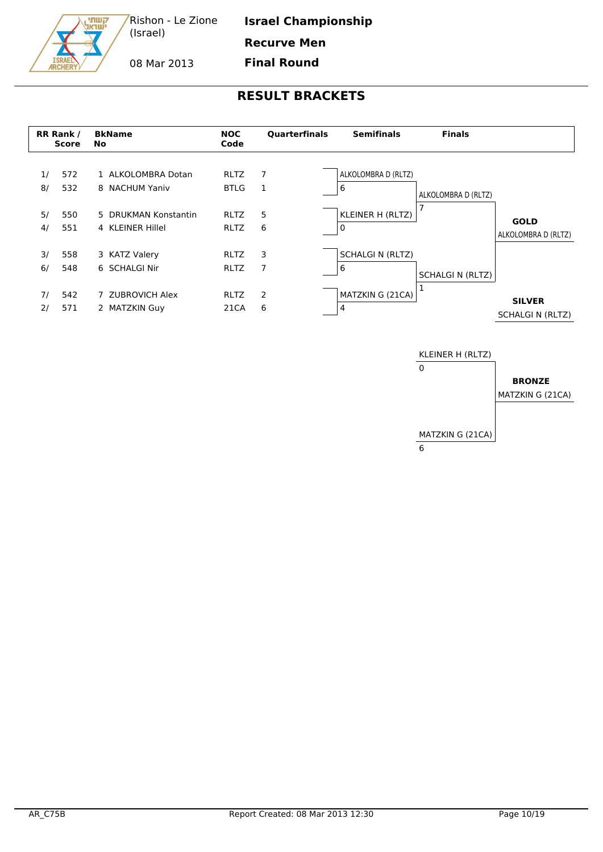**Israel Championship**

**Recurve Men**

08 Mar 2013

קשתי<br>ישרא

**Final Round**



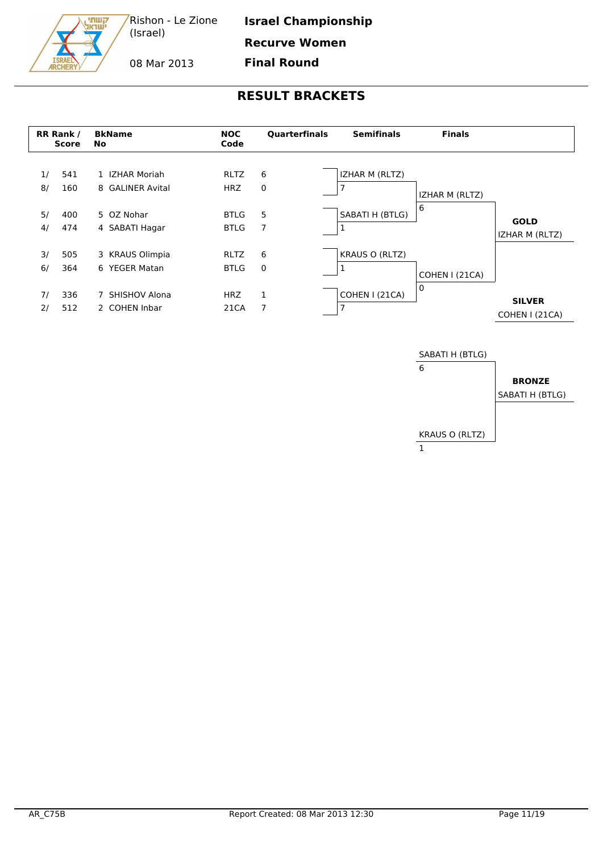קשתי<br>ישראג

**Israel Championship**

08 Mar 2013

**Recurve Women Final Round**

|          | RR Rank /<br><b>Score</b> | <b>BkName</b><br>No                | <b>NOC</b><br>Code         | <b>Ouarterfinals</b> | <b>Semifinals</b>          | <b>Finals</b>  |                                 |
|----------|---------------------------|------------------------------------|----------------------------|----------------------|----------------------------|----------------|---------------------------------|
| 1/<br>8/ | 541<br>160                | 1 IZHAR Moriah<br>8 GALINER Avital | <b>RLTZ</b><br><b>HRZ</b>  | 6<br>0               | IZHAR M (RLTZ)<br>7        | IZHAR M (RLTZ) |                                 |
| 5/<br>4/ | 400<br>474                | 5 OZ Nohar<br>4 SABATI Hagar       | <b>BTLG</b><br><b>BTLG</b> | 5<br>7               | SABATI H (BTLG)<br>Ŧ       | 6              | <b>GOLD</b><br>IZHAR M (RLTZ)   |
| 3/<br>6/ | 505<br>364                | 3 KRAUS Olimpia<br>6 YEGER Matan   | <b>RLTZ</b><br><b>BTLG</b> | 6<br>$\mathbf 0$     | <b>KRAUS O (RLTZ)</b><br>Ŧ | COHEN I (21CA) |                                 |
| 71<br>2/ | 336<br>512                | 7 SHISHOV Alona<br>2 COHEN Inbar   | <b>HRZ</b><br>21CA         | 1<br>7               | COHEN I (21CA)<br>7        | 0              | <b>SILVER</b><br>COHEN I (21CA) |

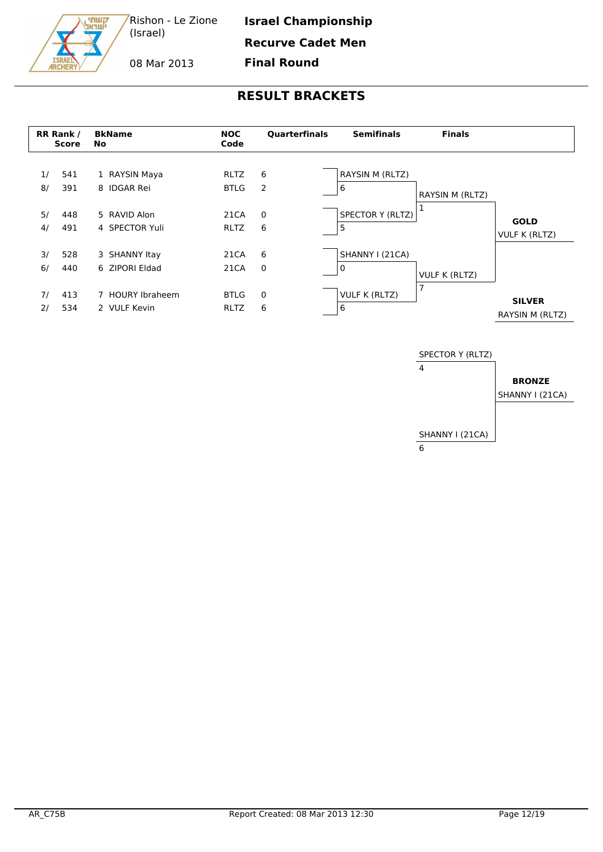**Israel Championship**

**Recurve Cadet Men**

08 Mar 2013

קשתי<br>ישראג

**Final Round**

|          | <b>RR Rank /</b><br><b>Score</b> | <b>BkName</b><br><b>No</b>       | <b>NOC</b><br>Code         | <b>Quarterfinals</b> | <b>Semifinals</b>         | <b>Finals</b>        |                                  |
|----------|----------------------------------|----------------------------------|----------------------------|----------------------|---------------------------|----------------------|----------------------------------|
| 1/<br>8/ | 541<br>391                       | 1 RAYSIN Maya<br>8 IDGAR Rei     | <b>RLTZ</b><br><b>BTLG</b> | 6<br>2               | RAYSIN M (RLTZ)<br>6      | RAYSIN M (RLTZ)      |                                  |
| 5/<br>4/ | 448<br>491                       | 5 RAVID Alon<br>4 SPECTOR Yuli   | 21CA<br><b>RLTZ</b>        | $\mathbf 0$<br>6     | SPECTOR Y (RLTZ)<br>5     | 1                    | <b>GOLD</b><br>VULF K (RLTZ)     |
| 3/<br>6/ | 528<br>440                       | 3 SHANNY Itay<br>6 ZIPORI Eldad  | 21CA<br>21CA               | 6<br>$\overline{0}$  | SHANNY I (21CA)<br>0      | <b>VULF K (RLTZ)</b> |                                  |
| 71<br>2/ | 413<br>534                       | 7 HOURY Ibraheem<br>2 VULF Kevin | <b>BTLG</b><br>RLTZ        | 0<br>6               | <b>VULF K (RLTZ)</b><br>6 | 7                    | <b>SILVER</b><br>RAYSIN M (RLTZ) |

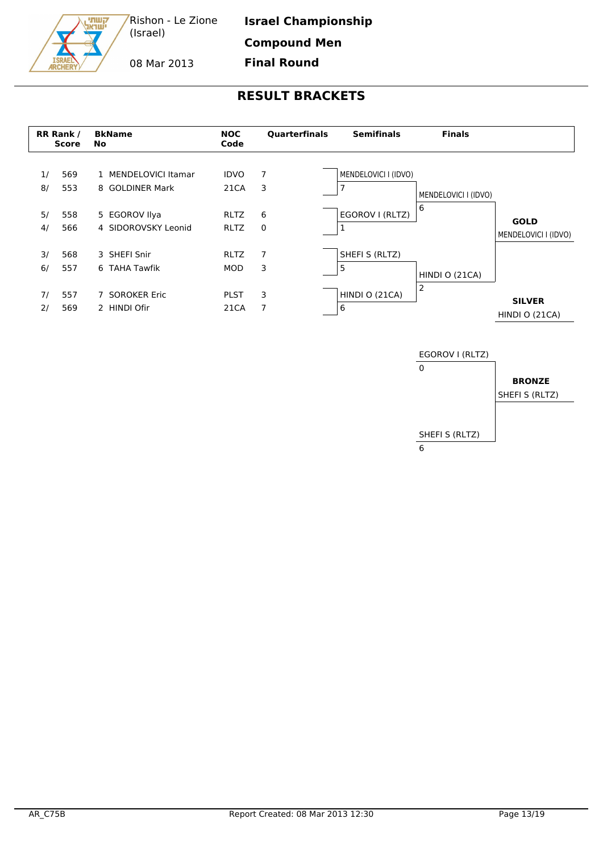

08 Mar 2013

**RESULT BRACKETS**

**Final Round**



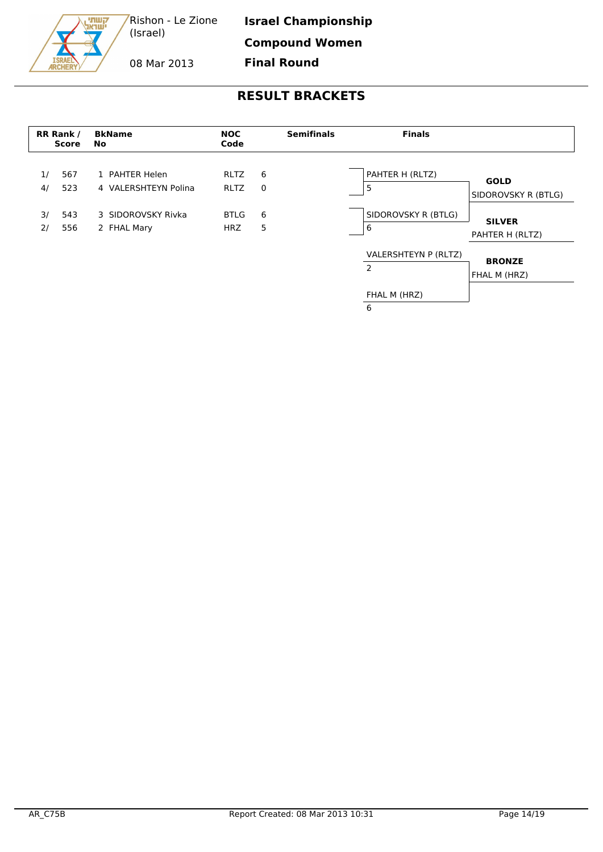**Israel Championship**

**Compound Women**

08 Mar 2013

קשתי<br>ישראג

**Final Round**

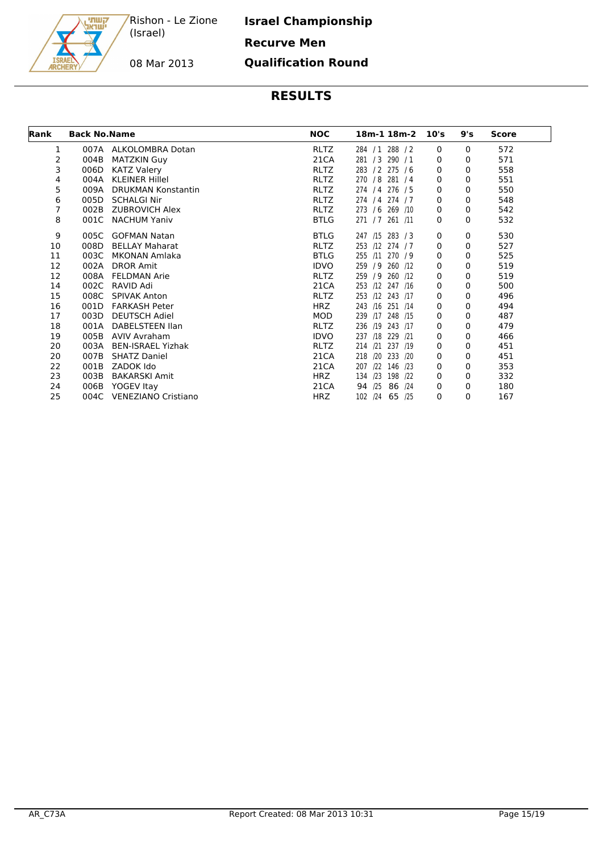קשתי<br>ישראג

08 Mar 2013

**Israel Championship Recurve Men Qualification Round**

| Rank | <b>Back No.Name</b> |                           | <b>NOC</b>  | 18m-1 18m-2      | 10's         | 9's | <b>Score</b> |  |
|------|---------------------|---------------------------|-------------|------------------|--------------|-----|--------------|--|
| 1    |                     | 007A ALKOLOMBRA Dotan     | <b>RLTZ</b> | 284 / 1 288 / 2  | 0            | 0   | 572          |  |
| 2    | 004B                | <b>MATZKIN Guy</b>        | 21CA        | 281 / 3 290 / 1  | 0            | 0   | 571          |  |
| 3    | 006D                | <b>KATZ Valery</b>        | <b>RLTZ</b> | 283 / 2 275 / 6  | 0            | 0   | 558          |  |
| 4    | 004A                | <b>KLEINER Hillel</b>     | <b>RLTZ</b> | 270 / 8 281 / 4  | 0            | 0   | 551          |  |
| 5    | 009A                | <b>DRUKMAN Konstantin</b> | <b>RLTZ</b> | 274 / 4 276 / 5  | $\mathbf{0}$ | 0   | 550          |  |
| 6    | 005D                | <b>SCHALGI Nir</b>        | <b>RLTZ</b> | 274 / 4 274 / 7  | 0            | 0   | 548          |  |
| 7    | 002B                | <b>ZUBROVICH Alex</b>     | <b>RLTZ</b> | 273 / 6 269 /10  | 0            | 0   | 542          |  |
| 8    | 001C                | <b>NACHUM Yaniv</b>       | <b>BTLG</b> | 271 / 7 261 /11  | $\mathbf{0}$ | 0   | 532          |  |
| 9    | 005C                | <b>GOFMAN Natan</b>       | <b>BTLG</b> | 247 /15 283 / 3  | 0            | 0   | 530          |  |
| 10   | 008D                | <b>BELLAY Maharat</b>     | <b>RLTZ</b> | 253 /12 274 / 7  | 0            | 0   | 527          |  |
| 11   | 003C                | MKONAN Amlaka             | <b>BTLG</b> | 255 /11 270 / 9  | 0            | 0   | 525          |  |
| 12   | 002A                | <b>DROR Amit</b>          | <b>IDVO</b> | 259 / 9 260 /12  | 0            | 0   | 519          |  |
| 12   | 008A                | <b>FELDMAN Arie</b>       | <b>RLTZ</b> | 259 / 9 260 /12  | 0            | 0   | 519          |  |
| 14   | 002C                | RAVID Adi                 | 21CA        | 253 /12 247 /16  | 0            | 0   | 500          |  |
| 15   | 008C                | <b>SPIVAK Anton</b>       | <b>RLTZ</b> | 253 /12 243 /17  | 0            | 0   | 496          |  |
| 16   | 001D                | <b>FARKASH Peter</b>      | <b>HRZ</b>  | 243 /16 251 /14  | 0            | 0   | 494          |  |
| 17   | 003D                | <b>DEUTSCH Adiel</b>      | MOD         | 239 /17 248 /15  | 0            | 0   | 487          |  |
| 18   | 001A                | DABELSTEEN Ilan           | <b>RLTZ</b> | 236 /19 243 /17  | 0            | 0   | 479          |  |
| 19   | 005B                | <b>AVIV Avraham</b>       | <b>IDVO</b> | 237 /18 229 /21  | 0            | 0   | 466          |  |
| 20   | 003A                | <b>BEN-ISRAEL Yizhak</b>  | <b>RLTZ</b> | 214 /21 237 /19  | 0            | 0   | 451          |  |
| 20   | 007B                | <b>SHATZ Daniel</b>       | 21CA        | 218 /20 233 /20  | 0            | 0   | 451          |  |
| 22   | 001B                | ZADOK Ido                 | 21CA        | 207 /22 146 /23  | 0            | 0   | 353          |  |
| 23   | 003B                | <b>BAKARSKI Amit</b>      | <b>HRZ</b>  | 134 /23 198 /22  | $\Omega$     | 0   | 332          |  |
| 24   | 006B                | YOGEV Itay                | 21CA        | 86 /24<br>94 /25 | 0            | 0   | 180          |  |
| 25   | 004C                | VENEZIANO Cristiano       | HRZ.        | 102 /24 65 /25   | 0            | 0   | 167          |  |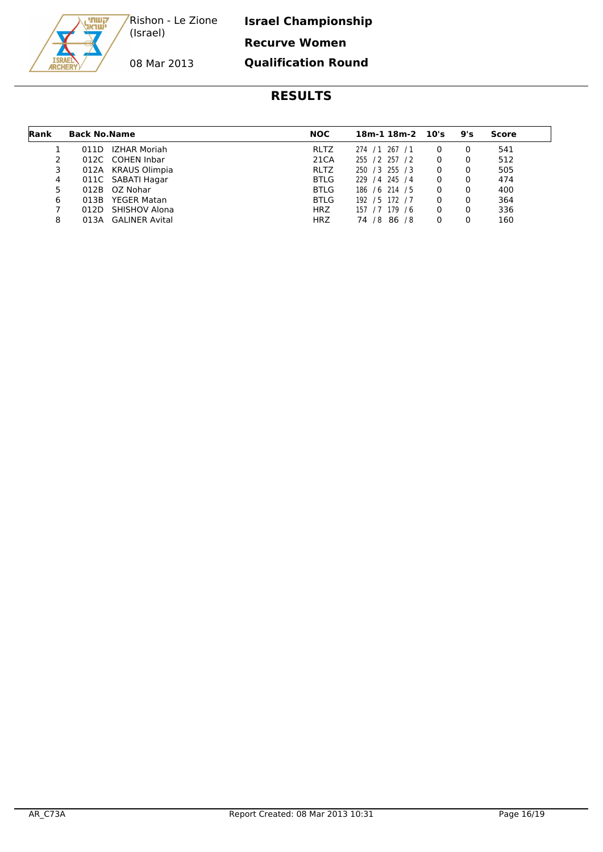**Israel Championship Recurve Women Qualification Round**



08 Mar 2013

| Rank | <b>Back No. Name</b> |                       | <b>NOC</b>  | $18m-1$ $18m-2$ $10's$ | 9's | Score |  |
|------|----------------------|-----------------------|-------------|------------------------|-----|-------|--|
|      | 011D                 | IZHAR Moriah          | <b>RLTZ</b> | 267/1<br>274 / 1       |     | 541   |  |
|      |                      | 012C COHEN Inbar      | 21CA        | 255 / 2 257 / 2        |     | 512   |  |
| 3    |                      | 012A KRAUS Olimpia    | <b>RLTZ</b> | 250 / 3 255 / 3        |     | 505   |  |
| 4    |                      | 011C SABATI Hagar     | <b>BTLG</b> | 229 / 4 245 / 4        |     | 474   |  |
| 5    | 012B                 | OZ Nohar              | <b>BTLG</b> | 186 / 6 214 / 5        |     | 400   |  |
| 6    | 013B                 | <b>YEGER Matan</b>    | <b>BTLG</b> | 192 / 5 172 / 7        |     | 364   |  |
|      | 012D                 | <b>SHISHOV Alona</b>  | <b>HRZ</b>  | 157 / 7 179 / 6        |     | 336   |  |
| 8    | 013A                 | <b>GALINER Avital</b> | <b>HRZ</b>  | 74 / 8<br>86/8         |     | 160   |  |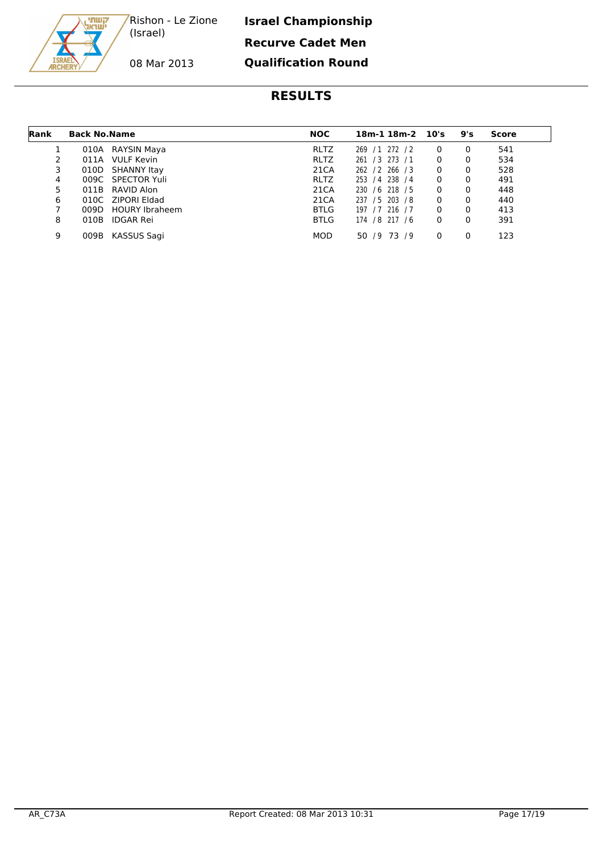קשתי<br>ישראג

**Israel Championship Recurve Cadet Men Qualification Round**

#### **RESULTS**

| Rank | <b>Back No. Name</b> |                       | <b>NOC</b>  | $18m-1$ $18m-2$ $10's$ |   | 9's      | Score |
|------|----------------------|-----------------------|-------------|------------------------|---|----------|-------|
|      | 010A                 | RAYSIN Maya           | <b>RLTZ</b> | 269 / 1 272 / 2        | 0 | 0        | 541   |
|      | 011A                 | VULF Kevin            | <b>RLTZ</b> | 261 / 3 273 / 1        | 0 | 0        | 534   |
| 3    | 010D                 | SHANNY Itay           | 21CA        | 262 / 2 266 / 3        | 0 | 0        | 528   |
| 4    |                      | 009C SPECTOR Yuli     | <b>RLTZ</b> | 253 / 4 238 / 4        | 0 | 0        | 491   |
| 5    |                      | 011B RAVID Alon       | 21CA        | 230 / 6 218 / 5        | 0 | $\Omega$ | 448   |
| 6    |                      | 010C ZIPORI Eldad     | 21CA        | 237 / 5 203 / 8        | 0 | 0        | 440   |
| 7    | 009D                 | <b>HOURY Ibraheem</b> | <b>BTLG</b> | 197 / 7 216 / 7        | 0 | $\Omega$ | 413   |
| 8    | 010B                 | IDGAR Rei             | <b>BTLG</b> | 174 / 8 217 / 6        | 0 | 0        | 391   |
| 9    | 009B                 | KASSUS Sagi           | <b>MOD</b>  | 50 / 9 73 / 9          | 0 |          | 123   |

08 Mar 2013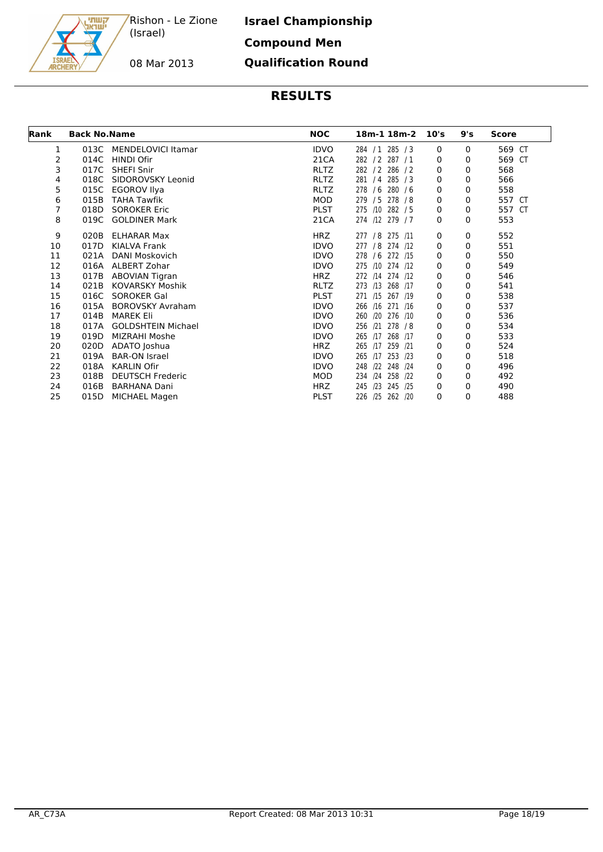קשתי<br>ישראג

# **Israel Championship Compound Men Qualification Round**

# 08 Mar 2013

| Rank | <b>Back No.Name</b> |                           | <b>NOC</b><br>18m-1 18m-2 |                    |      |     | <b>Score</b> |  |  |
|------|---------------------|---------------------------|---------------------------|--------------------|------|-----|--------------|--|--|
|      |                     |                           |                           |                    | 10's | 9's |              |  |  |
| 1    | 013C                | MENDELOVICI Itamar        | <b>IDVO</b>               | 284 / 1 285 / 3    | 0    | 0   | 569 CT       |  |  |
| 2    | 014C                | HINDI Ofir                | 21CA                      | 282 / 2 287 / 1    | 0    | 0   | 569 CT       |  |  |
| 3    | 017C                | <b>SHEFI Snir</b>         | <b>RLTZ</b>               | 282 / 2 286 / 2    | 0    | 0   | 568          |  |  |
| 4    | 018C                | SIDOROVSKY Leonid         | <b>RLTZ</b>               | 281 / 4 285 / 3    | 0    | 0   | 566          |  |  |
| 5    | 015C                | <b>EGOROV Ilya</b>        | <b>RLTZ</b>               | 278 / 6 280 / 6    | 0    | 0   | 558          |  |  |
| 6    | 015B                | <b>TAHA Tawfik</b>        | MOD                       | 279 / 5 278 / 8    | 0    | 0   | 557 CT       |  |  |
| 7    | 018D                | <b>SOROKER Eric</b>       | <b>PLST</b>               | 275 /10 282 / 5    | 0    | 0   | 557 CT       |  |  |
| 8    | 019C                | <b>GOLDINER Mark</b>      | 21CA                      | 274 /12 279 / 7    | 0    | 0   | 553          |  |  |
| 9    | 020B                | <b>ELHARAR Max</b>        | <b>HRZ</b>                | 277 / 8 275 /11    | 0    | 0   | 552          |  |  |
| 10   | 017D                | KIALVA Frank              | <b>IDVO</b>               | 277 / 8 274 /12    | 0    | 0   | 551          |  |  |
| 11   | 021A                | DANI Moskovich            | <b>IDVO</b>               | 278 / 6 272 /15    | 0    | 0   | 550          |  |  |
| 12   | 016A                | ALBERT Zohar              | <b>IDVO</b>               | 275 /10 274 /12    | 0    | 0   | 549          |  |  |
| 13   | 017B                | <b>ABOVIAN Tigran</b>     | <b>HRZ</b>                | 272 /14 274 /12    | 0    | 0   | 546          |  |  |
| 14   | 021B                | <b>KOVARSKY Moshik</b>    | <b>RLTZ</b>               | 273 /13 268 /17    | 0    | 0   | 541          |  |  |
| 15   | 016C                | SOROKER Gal               | <b>PLST</b>               | 271 /15 267 /19    | 0    | 0   | 538          |  |  |
| 16   | 015A                | <b>BOROVSKY Avraham</b>   | <b>IDVO</b>               | 266 /16 271 /16    | 0    | 0   | 537          |  |  |
| 17   | 014B                | <b>MAREK Eli</b>          | <b>IDVO</b>               | 260 /20 276 /10    | 0    | 0   | 536          |  |  |
| 18   | 017A                | <b>GOLDSHTEIN Michael</b> | <b>IDVO</b>               | 256 /21 278 /8     | 0    | 0   | 534          |  |  |
| 19   | 019D                | MIZRAHI Moshe             | <b>IDVO</b>               | 265 /17 268 /17    | 0    | 0   | 533          |  |  |
| 20   | 020D                | ADATO Joshua              | <b>HRZ</b>                | 265 /17 259 /21    | 0    | 0   | 524          |  |  |
| 21   | 019A                | <b>BAR-ON Israel</b>      | <b>IDVO</b>               | 265 /17<br>253 /23 | 0    | 0   | 518          |  |  |
| 22   | 018A                | <b>KARLIN Ofir</b>        | <b>IDVO</b>               | 248 /22 248 /24    | 0    | 0   | 496          |  |  |
| 23   | 018B                | <b>DEUTSCH Frederic</b>   | MOD                       | 234 /24 258 /22    | 0    | 0   | 492          |  |  |
| 24   | 016B                | <b>BARHANA Dani</b>       | <b>HRZ</b>                | 245 /23 245 /25    | 0    | 0   | 490          |  |  |
| 25   | 015D                | <b>MICHAEL Magen</b>      | <b>PLST</b>               | 226 /25 262 /20    | 0    | 0   | 488          |  |  |